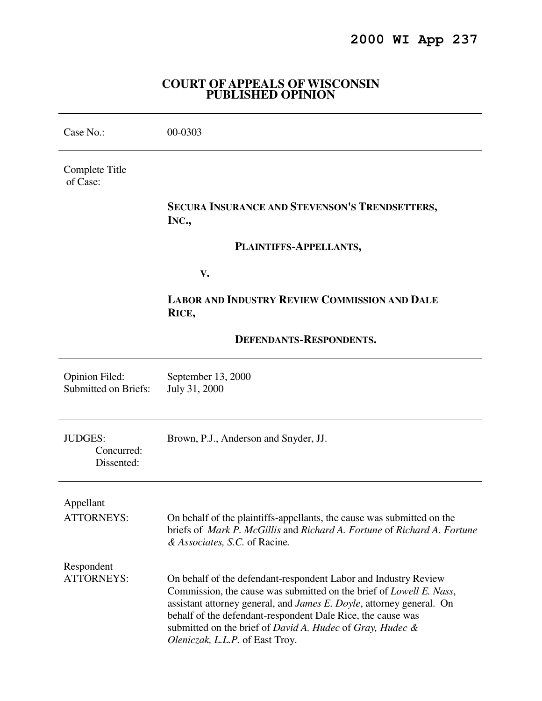# **2000 WI App 237**

### **COURT OF APPEALS OF WISCONSIN PUBLISHED OPINION**

| Case No.:                                            | 00-0303                                                                                                                                                                                                                                                                                                                                                                               |
|------------------------------------------------------|---------------------------------------------------------------------------------------------------------------------------------------------------------------------------------------------------------------------------------------------------------------------------------------------------------------------------------------------------------------------------------------|
| Complete Title<br>of Case:                           |                                                                                                                                                                                                                                                                                                                                                                                       |
|                                                      | SECURA INSURANCE AND STEVENSON'S TRENDSETTERS,<br>INC.,                                                                                                                                                                                                                                                                                                                               |
|                                                      | PLAINTIFFS-APPELLANTS,                                                                                                                                                                                                                                                                                                                                                                |
|                                                      | V.                                                                                                                                                                                                                                                                                                                                                                                    |
|                                                      | <b>LABOR AND INDUSTRY REVIEW COMMISSION AND DALE</b><br>RICE,                                                                                                                                                                                                                                                                                                                         |
|                                                      | DEFENDANTS-RESPONDENTS.                                                                                                                                                                                                                                                                                                                                                               |
| <b>Opinion Filed:</b><br><b>Submitted on Briefs:</b> | September 13, 2000<br>July 31, 2000                                                                                                                                                                                                                                                                                                                                                   |
| <b>JUDGES:</b><br>Concurred:<br>Dissented:           | Brown, P.J., Anderson and Snyder, JJ.                                                                                                                                                                                                                                                                                                                                                 |
| Appellant                                            |                                                                                                                                                                                                                                                                                                                                                                                       |
| <b>ATTORNEYS:</b>                                    | On behalf of the plaintiffs-appellants, the cause was submitted on the<br>briefs of Mark P. McGillis and Richard A. Fortune of Richard A. Fortune<br>& Associates, S.C. of Racine.                                                                                                                                                                                                    |
| Respondent<br><b>ATTORNEYS:</b>                      | On behalf of the defendant-respondent Labor and Industry Review<br>Commission, the cause was submitted on the brief of <i>Lowell E. Nass</i> ,<br>assistant attorney general, and James E. Doyle, attorney general. On<br>behalf of the defendant-respondent Dale Rice, the cause was<br>submitted on the brief of David A. Hudec of Gray, Hudec &<br>Oleniczak, L.L.P. of East Troy. |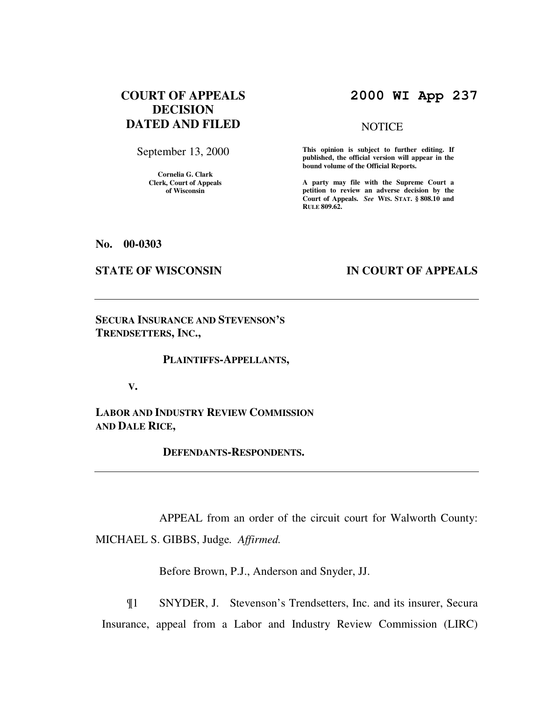# **COURT OF APPEALS DECISION DATED AND FILED**

September 13, 2000

**Cornelia G. Clark Clerk, Court of Appeals of Wisconsin** 

# **2000 WI App 237**

#### **NOTICE**

**This opinion is subject to further editing. If published, the official version will appear in the bound volume of the Official Reports.**

**A party may file with the Supreme Court a petition to review an adverse decision by the Court of Appeals.** *See* **WIS. STAT. § 808.10 and RULE 809.62.** 

**No. 00-0303** 

# **STATE OF WISCONSIN BY IN COURT OF APPEALS**

**SECURA INSURANCE AND STEVENSON'S TRENDSETTERS, INC.,** 

#### **PLAINTIFFS-APPELLANTS,**

 **V.** 

**LABOR AND INDUSTRY REVIEW COMMISSION AND DALE RICE,** 

 **DEFENDANTS-RESPONDENTS.** 

 APPEAL from an order of the circuit court for Walworth County: MICHAEL S. GIBBS, Judge*. Affirmed.*

Before Brown, P.J., Anderson and Snyder, JJ.

 ¶1 SNYDER, J. Stevenson's Trendsetters, Inc. and its insurer, Secura Insurance, appeal from a Labor and Industry Review Commission (LIRC)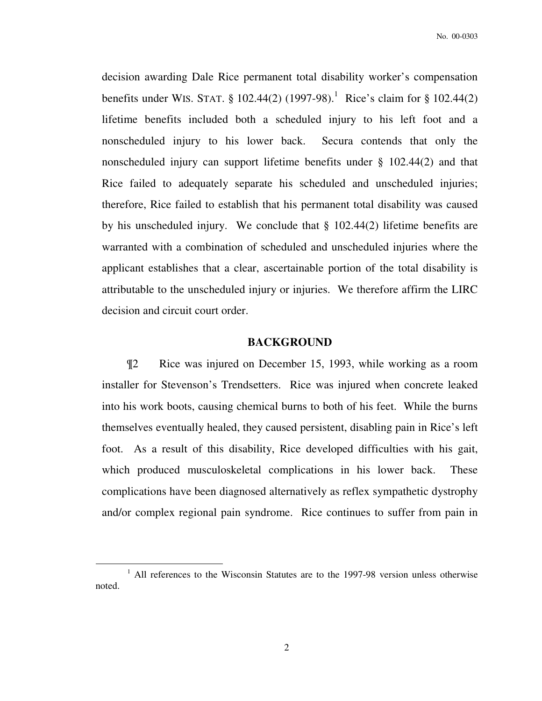decision awarding Dale Rice permanent total disability worker's compensation benefits under WIS. STAT. § 102.44(2) (1997-98).<sup>1</sup> Rice's claim for § 102.44(2) lifetime benefits included both a scheduled injury to his left foot and a nonscheduled injury to his lower back. Secura contends that only the nonscheduled injury can support lifetime benefits under § 102.44(2) and that Rice failed to adequately separate his scheduled and unscheduled injuries; therefore, Rice failed to establish that his permanent total disability was caused by his unscheduled injury. We conclude that § 102.44(2) lifetime benefits are warranted with a combination of scheduled and unscheduled injuries where the applicant establishes that a clear, ascertainable portion of the total disability is attributable to the unscheduled injury or injuries. We therefore affirm the LIRC decision and circuit court order.

#### **BACKGROUND**

 ¶2 Rice was injured on December 15, 1993, while working as a room installer for Stevenson's Trendsetters. Rice was injured when concrete leaked into his work boots, causing chemical burns to both of his feet. While the burns themselves eventually healed, they caused persistent, disabling pain in Rice's left foot. As a result of this disability, Rice developed difficulties with his gait, which produced musculoskeletal complications in his lower back. These complications have been diagnosed alternatively as reflex sympathetic dystrophy and/or complex regional pain syndrome. Rice continues to suffer from pain in

 $\overline{a}$ 

<sup>&</sup>lt;sup>1</sup> All references to the Wisconsin Statutes are to the 1997-98 version unless otherwise noted.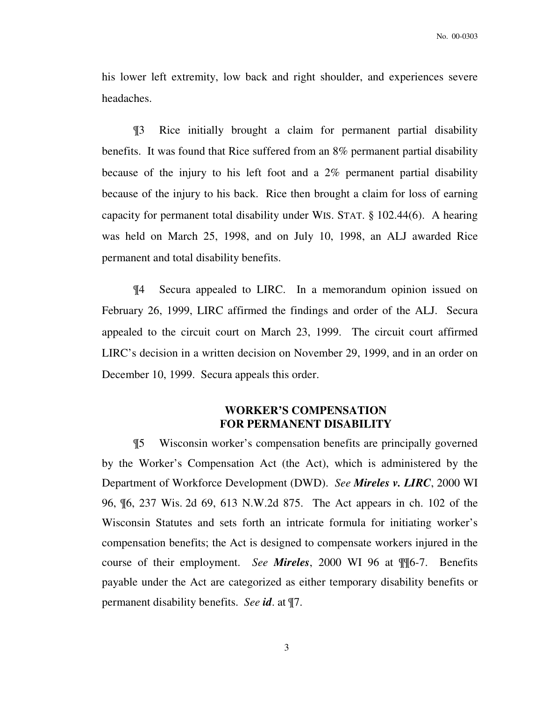his lower left extremity, low back and right shoulder, and experiences severe headaches.

¶3 Rice initially brought a claim for permanent partial disability benefits. It was found that Rice suffered from an 8% permanent partial disability because of the injury to his left foot and a 2% permanent partial disability because of the injury to his back. Rice then brought a claim for loss of earning capacity for permanent total disability under WIS. STAT. § 102.44(6). A hearing was held on March 25, 1998, and on July 10, 1998, an ALJ awarded Rice permanent and total disability benefits.

¶4 Secura appealed to LIRC. In a memorandum opinion issued on February 26, 1999, LIRC affirmed the findings and order of the ALJ. Secura appealed to the circuit court on March 23, 1999. The circuit court affirmed LIRC's decision in a written decision on November 29, 1999, and in an order on December 10, 1999. Secura appeals this order.

# **WORKER'S COMPENSATION FOR PERMANENT DISABILITY**

¶5 Wisconsin worker's compensation benefits are principally governed by the Worker's Compensation Act (the Act), which is administered by the Department of Workforce Development (DWD). *See Mireles v. LIRC*, 2000 WI 96, ¶6, 237 Wis. 2d 69, 613 N.W.2d 875. The Act appears in ch. 102 of the Wisconsin Statutes and sets forth an intricate formula for initiating worker's compensation benefits; the Act is designed to compensate workers injured in the course of their employment. *See Mireles*, 2000 WI 96 at ¶¶6-7. Benefits payable under the Act are categorized as either temporary disability benefits or permanent disability benefits. *See id*. at ¶7.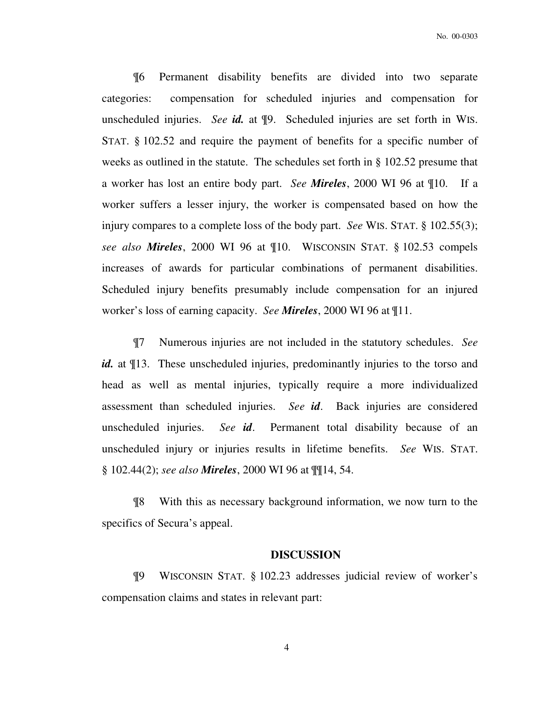¶6 Permanent disability benefits are divided into two separate categories: compensation for scheduled injuries and compensation for unscheduled injuries. *See id.* at ¶9. Scheduled injuries are set forth in WIS. STAT. § 102.52 and require the payment of benefits for a specific number of weeks as outlined in the statute. The schedules set forth in § 102.52 presume that a worker has lost an entire body part. *See Mireles*, 2000 WI 96 at ¶10. If a worker suffers a lesser injury, the worker is compensated based on how the injury compares to a complete loss of the body part. *See* WIS. STAT. § 102.55(3); *see also Mireles*, 2000 WI 96 at ¶10. WISCONSIN STAT. § 102.53 compels increases of awards for particular combinations of permanent disabilities. Scheduled injury benefits presumably include compensation for an injured worker's loss of earning capacity. *See Mireles*, 2000 WI 96 at ¶11.

¶7 Numerous injuries are not included in the statutory schedules. *See id.* at  $\llbracket 13$ . These unscheduled injuries, predominantly injuries to the torso and head as well as mental injuries, typically require a more individualized assessment than scheduled injuries. *See id*. Back injuries are considered unscheduled injuries. *See id*. Permanent total disability because of an unscheduled injury or injuries results in lifetime benefits. *See* WIS. STAT. § 102.44(2); *see also Mireles*, 2000 WI 96 at ¶¶14, 54.

¶8 With this as necessary background information, we now turn to the specifics of Secura's appeal.

#### **DISCUSSION**

¶9 WISCONSIN STAT. § 102.23 addresses judicial review of worker's compensation claims and states in relevant part:

4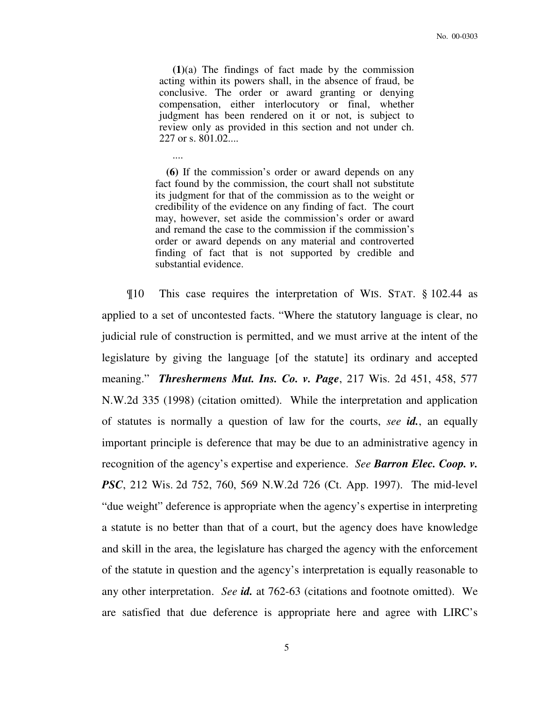**(1)**(a) The findings of fact made by the commission acting within its powers shall, in the absence of fraud, be conclusive. The order or award granting or denying compensation, either interlocutory or final, whether judgment has been rendered on it or not, is subject to review only as provided in this section and not under ch. 227 or s. 801.02....

 **(6)** If the commission's order or award depends on any fact found by the commission, the court shall not substitute its judgment for that of the commission as to the weight or credibility of the evidence on any finding of fact. The court may, however, set aside the commission's order or award and remand the case to the commission if the commission's order or award depends on any material and controverted finding of fact that is not supported by credible and substantial evidence.

....

¶10 This case requires the interpretation of WIS. STAT. § 102.44 as applied to a set of uncontested facts. "Where the statutory language is clear, no judicial rule of construction is permitted, and we must arrive at the intent of the legislature by giving the language [of the statute] its ordinary and accepted meaning." *Threshermens Mut. Ins. Co. v. Page*, 217 Wis. 2d 451, 458, 577 N.W.2d 335 (1998) (citation omitted). While the interpretation and application of statutes is normally a question of law for the courts, *see id.*, an equally important principle is deference that may be due to an administrative agency in recognition of the agency's expertise and experience. *See Barron Elec. Coop. v. PSC*, 212 Wis. 2d 752, 760, 569 N.W.2d 726 (Ct. App. 1997). The mid-level "due weight" deference is appropriate when the agency's expertise in interpreting a statute is no better than that of a court, but the agency does have knowledge and skill in the area, the legislature has charged the agency with the enforcement of the statute in question and the agency's interpretation is equally reasonable to any other interpretation. *See id.* at 762-63 (citations and footnote omitted). We are satisfied that due deference is appropriate here and agree with LIRC's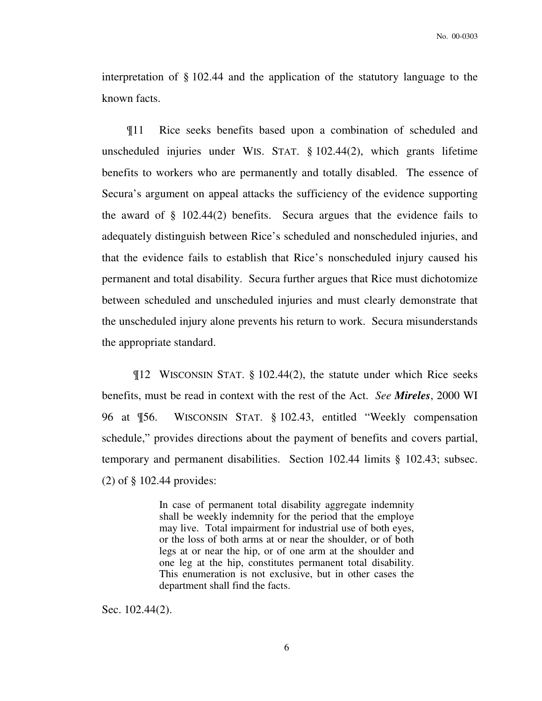interpretation of § 102.44 and the application of the statutory language to the known facts.

 ¶11 Rice seeks benefits based upon a combination of scheduled and unscheduled injuries under WIS. STAT. § 102.44(2), which grants lifetime benefits to workers who are permanently and totally disabled. The essence of Secura's argument on appeal attacks the sufficiency of the evidence supporting the award of § 102.44(2) benefits. Secura argues that the evidence fails to adequately distinguish between Rice's scheduled and nonscheduled injuries, and that the evidence fails to establish that Rice's nonscheduled injury caused his permanent and total disability. Secura further argues that Rice must dichotomize between scheduled and unscheduled injuries and must clearly demonstrate that the unscheduled injury alone prevents his return to work. Secura misunderstands the appropriate standard.

¶12 WISCONSIN STAT. § 102.44(2), the statute under which Rice seeks benefits, must be read in context with the rest of the Act. *See Mireles*, 2000 WI 96 at ¶56. WISCONSIN STAT. § 102.43, entitled "Weekly compensation schedule," provides directions about the payment of benefits and covers partial, temporary and permanent disabilities. Section 102.44 limits § 102.43; subsec. (2) of § 102.44 provides:

> In case of permanent total disability aggregate indemnity shall be weekly indemnity for the period that the employe may live. Total impairment for industrial use of both eyes, or the loss of both arms at or near the shoulder, or of both legs at or near the hip, or of one arm at the shoulder and one leg at the hip, constitutes permanent total disability. This enumeration is not exclusive, but in other cases the department shall find the facts.

Sec. 102.44(2).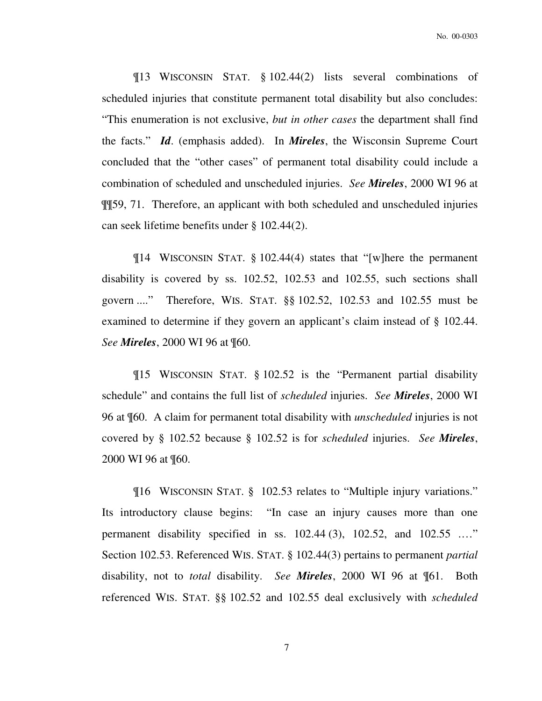No. 00-0303

¶13 WISCONSIN STAT. § 102.44(2) lists several combinations of scheduled injuries that constitute permanent total disability but also concludes: "This enumeration is not exclusive, *but in other cases* the department shall find the facts." *Id*. (emphasis added). In *Mireles*, the Wisconsin Supreme Court concluded that the "other cases" of permanent total disability could include a combination of scheduled and unscheduled injuries. *See Mireles*, 2000 WI 96 at ¶¶59, 71. Therefore, an applicant with both scheduled and unscheduled injuries can seek lifetime benefits under § 102.44(2).

¶14 WISCONSIN STAT. § 102.44(4) states that "[w]here the permanent disability is covered by ss. 102.52, 102.53 and 102.55, such sections shall govern ...." Therefore, WIS. STAT. §§ 102.52, 102.53 and 102.55 must be examined to determine if they govern an applicant's claim instead of § 102.44. *See Mireles*, 2000 WI 96 at ¶60.

¶15 WISCONSIN STAT. § 102.52 is the "Permanent partial disability schedule" and contains the full list of *scheduled* injuries. *See Mireles*, 2000 WI 96 at ¶60. A claim for permanent total disability with *unscheduled* injuries is not covered by § 102.52 because § 102.52 is for *scheduled* injuries. *See Mireles*, 2000 WI 96 at ¶60.

¶16 WISCONSIN STAT. § 102.53 relates to "Multiple injury variations." Its introductory clause begins: "In case an injury causes more than one permanent disability specified in ss. 102.44 (3), 102.52, and 102.55 .…" Section 102.53. Referenced WIS. STAT. § 102.44(3) pertains to permanent *partial* disability, not to *total* disability. *See Mireles*, 2000 WI 96 at ¶61. Both referenced WIS. STAT. §§ 102.52 and 102.55 deal exclusively with *scheduled*

7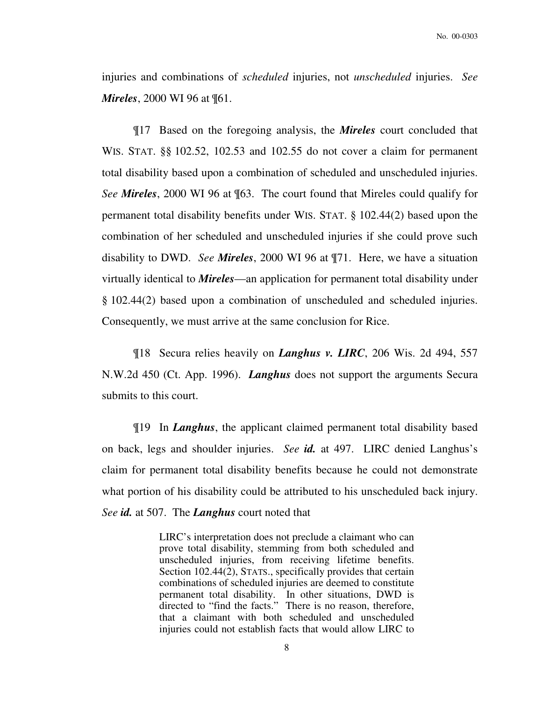injuries and combinations of *scheduled* injuries, not *unscheduled* injuries. *See Mireles*, 2000 WI 96 at ¶61.

¶17 Based on the foregoing analysis, the *Mireles* court concluded that WIS. STAT. §§ 102.52, 102.53 and 102.55 do not cover a claim for permanent total disability based upon a combination of scheduled and unscheduled injuries. *See Mireles*, 2000 WI 96 at ¶63. The court found that Mireles could qualify for permanent total disability benefits under WIS. STAT. § 102.44(2) based upon the combination of her scheduled and unscheduled injuries if she could prove such disability to DWD. *See Mireles*, 2000 WI 96 at ¶71. Here, we have a situation virtually identical to *Mireles*—an application for permanent total disability under § 102.44(2) based upon a combination of unscheduled and scheduled injuries. Consequently, we must arrive at the same conclusion for Rice.

¶18 Secura relies heavily on *Langhus v. LIRC*, 206 Wis. 2d 494, 557 N.W.2d 450 (Ct. App. 1996). *Langhus* does not support the arguments Secura submits to this court.

¶19 In *Langhus*, the applicant claimed permanent total disability based on back, legs and shoulder injuries. *See id.* at 497. LIRC denied Langhus's claim for permanent total disability benefits because he could not demonstrate what portion of his disability could be attributed to his unscheduled back injury. *See id.* at 507. The *Langhus* court noted that

> LIRC's interpretation does not preclude a claimant who can prove total disability, stemming from both scheduled and unscheduled injuries, from receiving lifetime benefits. Section 102.44(2), STATS., specifically provides that certain combinations of scheduled injuries are deemed to constitute permanent total disability. In other situations, DWD is directed to "find the facts." There is no reason, therefore, that a claimant with both scheduled and unscheduled injuries could not establish facts that would allow LIRC to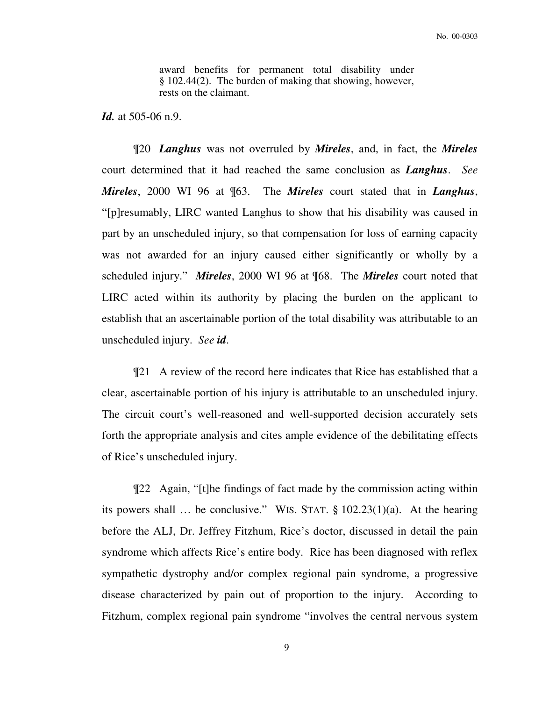award benefits for permanent total disability under § 102.44(2). The burden of making that showing, however, rests on the claimant.

*Id.* at 505-06 n.9.

¶20 *Langhus* was not overruled by *Mireles*, and, in fact, the *Mireles* court determined that it had reached the same conclusion as *Langhus*. *See Mireles*, 2000 WI 96 at ¶63. The *Mireles* court stated that in *Langhus*, "[p]resumably, LIRC wanted Langhus to show that his disability was caused in part by an unscheduled injury, so that compensation for loss of earning capacity was not awarded for an injury caused either significantly or wholly by a scheduled injury." *Mireles*, 2000 WI 96 at ¶68. The *Mireles* court noted that LIRC acted within its authority by placing the burden on the applicant to establish that an ascertainable portion of the total disability was attributable to an unscheduled injury. *See id*.

¶21 A review of the record here indicates that Rice has established that a clear, ascertainable portion of his injury is attributable to an unscheduled injury. The circuit court's well-reasoned and well-supported decision accurately sets forth the appropriate analysis and cites ample evidence of the debilitating effects of Rice's unscheduled injury.

¶22 Again, "[t]he findings of fact made by the commission acting within its powers shall ... be conclusive." WIS. STAT.  $\S 102.23(1)(a)$ . At the hearing before the ALJ, Dr. Jeffrey Fitzhum, Rice's doctor, discussed in detail the pain syndrome which affects Rice's entire body. Rice has been diagnosed with reflex sympathetic dystrophy and/or complex regional pain syndrome, a progressive disease characterized by pain out of proportion to the injury. According to Fitzhum, complex regional pain syndrome "involves the central nervous system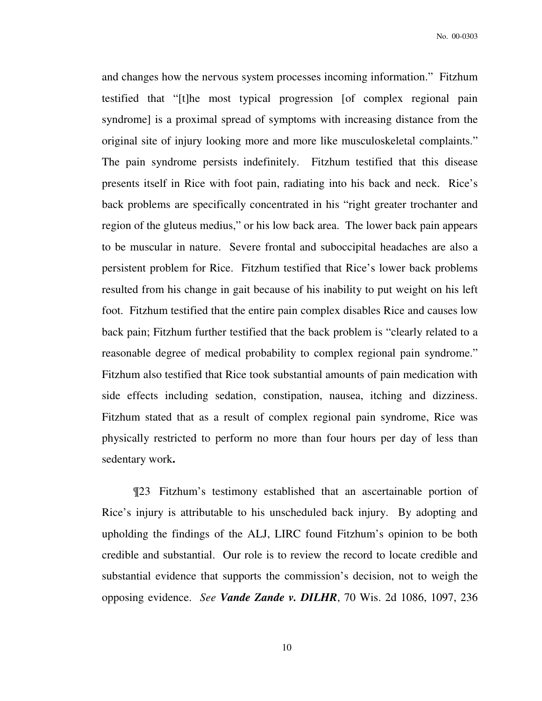and changes how the nervous system processes incoming information." Fitzhum testified that "[t]he most typical progression [of complex regional pain syndrome] is a proximal spread of symptoms with increasing distance from the original site of injury looking more and more like musculoskeletal complaints." The pain syndrome persists indefinitely. Fitzhum testified that this disease presents itself in Rice with foot pain, radiating into his back and neck. Rice's back problems are specifically concentrated in his "right greater trochanter and region of the gluteus medius," or his low back area. The lower back pain appears to be muscular in nature.Severe frontal and suboccipital headaches are also a persistent problem for Rice. Fitzhum testified that Rice's lower back problems resulted from his change in gait because of his inability to put weight on his left foot. Fitzhum testified that the entire pain complex disables Rice and causes low back pain; Fitzhum further testified that the back problem is "clearly related to a reasonable degree of medical probability to complex regional pain syndrome." Fitzhum also testified that Rice took substantial amounts of pain medication with side effects including sedation, constipation, nausea, itching and dizziness. Fitzhum stated that as a result of complex regional pain syndrome, Rice was physically restricted to perform no more than four hours per day of less than sedentary work**.** 

¶23 Fitzhum's testimony established that an ascertainable portion of Rice's injury is attributable to his unscheduled back injury. By adopting and upholding the findings of the ALJ, LIRC found Fitzhum's opinion to be both credible and substantial. Our role is to review the record to locate credible and substantial evidence that supports the commission's decision, not to weigh the opposing evidence. *See Vande Zande v. DILHR*, 70 Wis. 2d 1086, 1097, 236